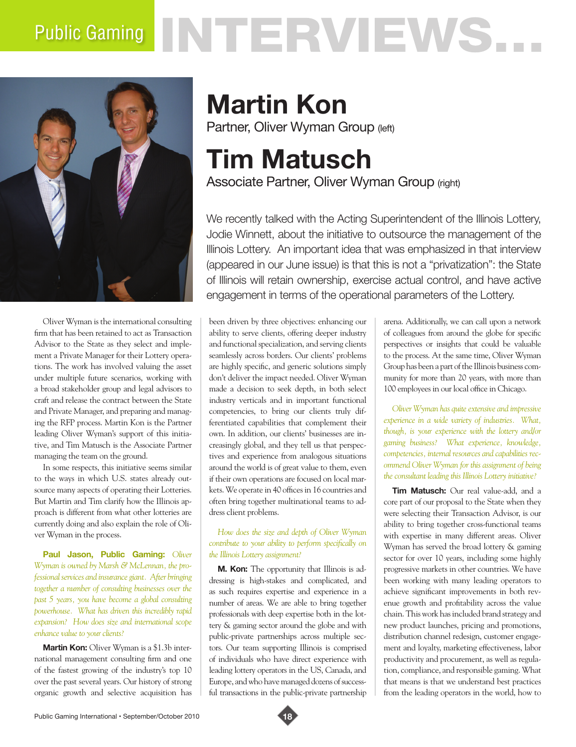# Public Gaming NTERVIEWS.



Oliver Wyman is the international consulting firm that has been retained to act as Transaction Advisor to the State as they select and implement a Private Manager for their Lottery operations. The work has involved valuing the asset under multiple future scenarios, working with a broad stakeholder group and legal advisors to craft and release the contract between the State and Private Manager, and preparing and managing the RFP process. Martin Kon is the Partner leading Oliver Wyman's support of this initiative, and Tim Matusch is the Associate Partner managing the team on the ground.

In some respects, this initiative seems similar to the ways in which U.S. states already outsource many aspects of operating their Lotteries. But Martin and Tim clarify how the Illinois approach is different from what other lotteries are currently doing and also explain the role of Oliver Wyman in the process.

**Paul Jason, Public Gaming:** *Oliver Wyman is owned by Marsh & McLennan, the professional services and insurance giant. After bringing together a number of consulting businesses over the past 5 years, you have become a global consulting powerhouse. What has driven this incredibly rapid expansion? How does size and international scope enhance value to your clients?*

**Martin Kon:** Oliver Wyman is a \$1.3b international management consulting firm and one of the fastest growing of the industry's top 10 over the past several years. Our history of strong organic growth and selective acquisition has

## **Martin Kon** Partner, Oliver Wyman Group (left)

### **Tim Matusch** Associate Partner, Oliver Wyman Group (right)

We recently talked with the Acting Superintendent of the Illinois Lottery, Jodie Winnett, about the initiative to outsource the management of the Illinois Lottery. An important idea that was emphasized in that interview (appeared in our June issue) is that this is not a "privatization": the State of Illinois will retain ownership, exercise actual control, and have active engagement in terms of the operational parameters of the Lottery.

been driven by three objectives: enhancing our ability to serve clients, offering deeper industry and functional specialization, and serving clients seamlessly across borders. Our clients' problems are highly specific, and generic solutions simply don't deliver the impact needed. Oliver Wyman made a decision to seek depth, in both select industry verticals and in important functional competencies, to bring our clients truly differentiated capabilities that complement their own. In addition, our clients' businesses are increasingly global, and they tell us that perspectives and experience from analogous situations around the world is of great value to them, even if their own operations are focused on local markets. We operate in 40 offices in 16 countries and often bring together multinational teams to address client problems.

#### *How does the size and depth of Oliver Wyman contribute to your ability to perform specifically on the Illinois Lottery assignment?*

**M. Kon:** The opportunity that Illinois is addressing is high-stakes and complicated, and as such requires expertise and experience in a number of areas. We are able to bring together professionals with deep expertise both in the lottery & gaming sector around the globe and with public-private partnerships across multiple sectors. Our team supporting Illinois is comprised of individuals who have direct experience with leading lottery operators in the US, Canada, and Europe, and who have managed dozens of successful transactions in the public-private partnership

arena. Additionally, we can call upon a network of colleagues from around the globe for specific perspectives or insights that could be valuable to the process. At the same time, Oliver Wyman Group has been a part of the Illinois business community for more than 20 years, with more than 100 employees in our local office in Chicago.

*Oliver Wyman has quite extensive and impressive experience in a wide variety of industries. What, though, is your experience with the lottery and/or gaming business? What experience, knowledge, competencies, internal resources and capabilities recommend Oliver Wyman for this assignment of being the consultant leading this Illinois Lottery initiative?*

**Tim Matusch:** Our real value-add, and a core part of our proposal to the State when they were selecting their Transaction Advisor, is our ability to bring together cross-functional teams with expertise in many different areas. Oliver Wyman has served the broad lottery & gaming sector for over 10 years, including some highly progressive markets in other countries. We have been working with many leading operators to achieve significant improvements in both revenue growth and profitability across the value chain. This work has included brand strategy and new product launches, pricing and promotions, distribution channel redesign, customer engagement and loyalty, marketing effectiveness, labor productivity and procurement, as well as regulation, compliance, and responsible gaming. What that means is that we understand best practices from the leading operators in the world, how to

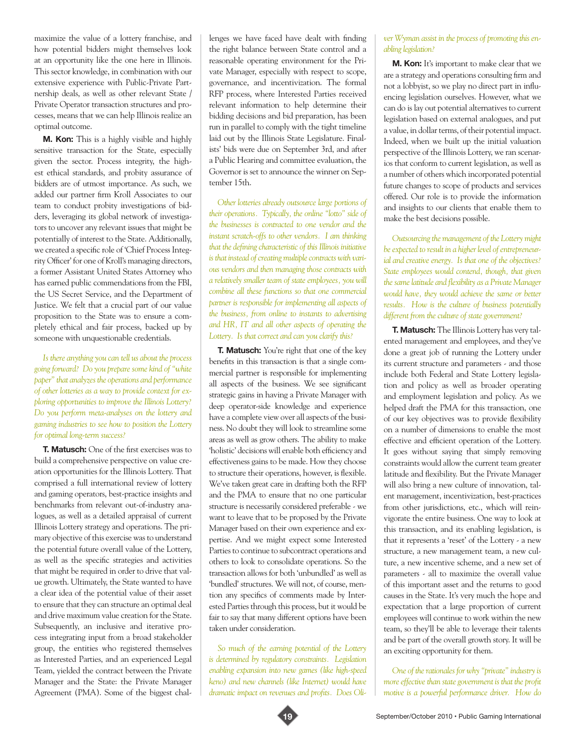maximize the value of a lottery franchise, and how potential bidders might themselves look at an opportunity like the one here in Illinois. This sector knowledge, in combination with our extensive experience with Public-Private Partnership deals, as well as other relevant State / Private Operator transaction structures and processes, means that we can help Illinois realize an optimal outcome.

**M. Kon:** This is a highly visible and highly sensitive transaction for the State, especially given the sector. Process integrity, the highest ethical standards, and probity assurance of bidders are of utmost importance. As such, we added our partner firm Kroll Associates to our team to conduct probity investigations of bidders, leveraging its global network of investigators to uncover any relevant issues that might be potentially of interest to the State. Additionally, we created a specific role of 'Chief Process Integrity Officer' for one of Kroll's managing directors, a former Assistant United States Attorney who has earned public commendations from the FBI, the US Secret Service, and the Department of Justice. We felt that a crucial part of our value proposition to the State was to ensure a completely ethical and fair process, backed up by someone with unquestionable credentials.

*Is there anything you can tell us about the process going forward? Do you prepare some kind of "white paper" that analyzes the operations and performance of other lotteries as a way to provide context for exploring opportunities to improve the Illinois Lottery? Do you perform meta-analyses on the lottery and gaming industries to see how to position the Lottery for optimal long-term success?*

**T. Matusch:** One of the first exercises was to build a comprehensive perspective on value creation opportunities for the Illinois Lottery. That comprised a full international review of lottery and gaming operators, best-practice insights and benchmarks from relevant out-of-industry analogues, as well as a detailed appraisal of current Illinois Lottery strategy and operations. The primary objective of this exercise was to understand the potential future overall value of the Lottery, as well as the specific strategies and activities that might be required in order to drive that value growth. Ultimately, the State wanted to have a clear idea of the potential value of their asset to ensure that they can structure an optimal deal and drive maximum value creation for the State. Subsequently, an inclusive and iterative process integrating input from a broad stakeholder group, the entities who registered themselves as Interested Parties, and an experienced Legal Team, yielded the contract between the Private Manager and the State: the Private Manager Agreement (PMA). Some of the biggest chal-

lenges we have faced have dealt with finding the right balance between State control and a reasonable operating environment for the Private Manager, especially with respect to scope, governance, and incentivization. The formal RFP process, where Interested Parties received relevant information to help determine their bidding decisions and bid preparation, has been run in parallel to comply with the tight timeline laid out by the Illinois State Legislature. Finalists' bids were due on September 3rd, and after a Public Hearing and committee evaluation, the Governor is set to announce the winner on September 15th.

*Other lotteries already outsource large portions of their operations. Typically, the online "lotto" side of the businesses is contracted to one vendor and the instant scratch-offs to other vendors. I am thinking that the defining characteristic of this Illinois initiative is that instead of creating multiple contracts with various vendors and then managing those contracts with a relatively smaller team of state employees, you will combine all these functions so that one commercial partner is responsible for implementing all aspects of the business, from online to instants to advertising and HR, IT and all other aspects of operating the Lottery. Is that correct and can you clarify this?*

**T. Matusch:** You're right that one of the key benefits in this transaction is that a single commercial partner is responsible for implementing all aspects of the business. We see significant strategic gains in having a Private Manager with deep operator-side knowledge and experience have a complete view over all aspects of the business. No doubt they will look to streamline some areas as well as grow others. The ability to make 'holistic' decisions will enable both efficiency and effectiveness gains to be made. How they choose to structure their operations, however, is flexible. We've taken great care in drafting both the RFP and the PMA to ensure that no one particular structure is necessarily considered preferable - we want to leave that to be proposed by the Private Manager based on their own experience and expertise. And we might expect some Interested Parties to continue to subcontract operations and others to look to consolidate operations. So the transaction allows for both 'unbundled' as well as 'bundled' structures. We will not, of course, mention any specifics of comments made by Interested Parties through this process, but it would be fair to say that many different options have been taken under consideration.

*So much of the earning potential of the Lottery is determined by regulatory constraints. Legislation enabling expansion into new games (like high-speed keno) and new channels (like Internet) would have dramatic impact on revenues and profits. Does Oli-*

#### *ver Wyman assist in the process of promoting this enabling legislation?*

**M. Kon:** It's important to make clear that we are a strategy and operations consulting firm and not a lobbyist, so we play no direct part in influencing legislation ourselves. However, what we can do is lay out potential alternatives to current legislation based on external analogues, and put a value, in dollar terms, of their potential impact. Indeed, when we built up the initial valuation perspective of the Illinois Lottery, we ran scenarios that conform to current legislation, as well as a number of others which incorporated potential future changes to scope of products and services offered. Our role is to provide the information and insights to our clients that enable them to make the best decisions possible.

*Outsourcing the management of the Lottery might be expected to result in a higher level of entrepreneurial and creative energy. Is that one of the objectives? State employees would contend, though, that given the same latitude and flexibility as a Private Manager would have, they would achieve the same or better results. How is the culture of business potentially different from the culture of state government?*

**T. Matusch:** The Illinois Lottery has very talented management and employees, and they've done a great job of running the Lottery under its current structure and parameters - and those include both Federal and State Lottery legislation and policy as well as broader operating and employment legislation and policy. As we helped draft the PMA for this transaction, one of our key objectives was to provide flexibility on a number of dimensions to enable the most effective and efficient operation of the Lottery. It goes without saying that simply removing constraints would allow the current team greater latitude and flexibility. But the Private Manager will also bring a new culture of innovation, talent management, incentivization, best-practices from other jurisdictions, etc., which will reinvigorate the entire business. One way to look at this transaction, and its enabling legislation, is that it represents a 'reset' of the Lottery - a new structure, a new management team, a new culture, a new incentive scheme, and a new set of parameters - all to maximize the overall value of this important asset and the returns to good causes in the State. It's very much the hope and expectation that a large proportion of current employees will continue to work within the new team, so they'll be able to leverage their talents and be part of the overall growth story. It will be an exciting opportunity for them.

*One of the rationales for why "private" industry is more effective than state government is that the profit motive is a powerful performance driver. How do*